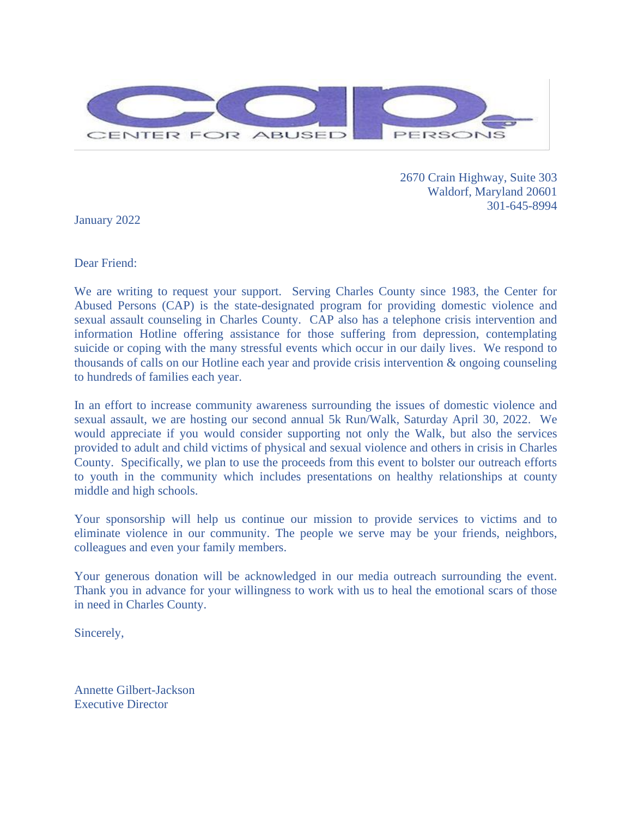

2670 Crain Highway, Suite 303 Waldorf, Maryland 20601 301-645-8994

January 2022

Dear Friend:

We are writing to request your support. Serving Charles County since 1983, the Center for Abused Persons (CAP) is the state-designated program for providing domestic violence and sexual assault counseling in Charles County. CAP also has a telephone crisis intervention and information Hotline offering assistance for those suffering from depression, contemplating suicide or coping with the many stressful events which occur in our daily lives. We respond to thousands of calls on our Hotline each year and provide crisis intervention & ongoing counseling to hundreds of families each year.

In an effort to increase community awareness surrounding the issues of domestic violence and sexual assault, we are hosting our second annual 5k Run/Walk, Saturday April 30, 2022. We would appreciate if you would consider supporting not only the Walk, but also the services provided to adult and child victims of physical and sexual violence and others in crisis in Charles County. Specifically, we plan to use the proceeds from this event to bolster our outreach efforts to youth in the community which includes presentations on healthy relationships at county middle and high schools.

Your sponsorship will help us continue our mission to provide services to victims and to eliminate violence in our community. The people we serve may be your friends, neighbors, colleagues and even your family members.

Your generous donation will be acknowledged in our media outreach surrounding the event. Thank you in advance for your willingness to work with us to heal the emotional scars of those in need in Charles County.

Sincerely,

Annette Gilbert-Jackson Executive Director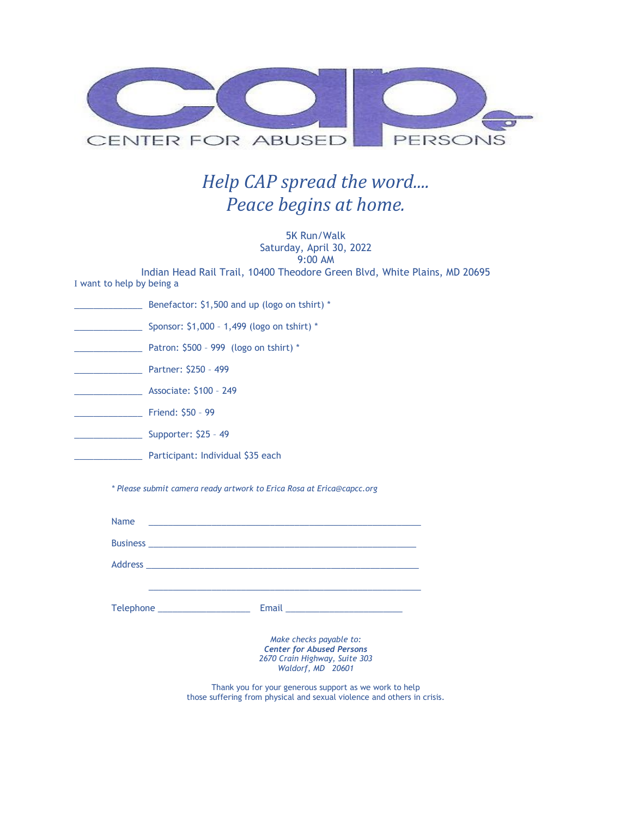

## *Help CAP spread the word.... Peace begins at home.*

5K Run/Walk Saturday, April 30, 2022 9:00 AM Indian Head Rail Trail, 10400 Theodore Green Blvd, White Plains, MD 20695 I want to help by being a \_\_\_\_\_\_\_\_\_\_\_\_\_\_ Benefactor: \$1,500 and up (logo on tshirt) \* \_\_\_\_\_\_\_\_\_\_\_\_\_\_ Sponsor: \$1,000 – 1,499 (logo on tshirt) \* \_\_\_\_\_\_\_\_\_\_\_\_\_\_ Patron: \$500 – 999 (logo on tshirt) \* \_\_\_\_\_\_\_\_\_\_\_\_\_\_ Partner: \$250 – 499 \_\_\_\_\_\_\_\_\_\_\_\_\_\_ Associate: \$100 – 249 \_\_\_\_\_\_\_\_\_\_\_\_\_\_ Friend: \$50 – 99 \_\_\_\_\_\_\_\_\_\_\_\_\_\_ Supporter: \$25 – 49 **Example 25 Participant: Individual \$35 each** *\* Please submit camera ready artwork to Erica Rosa at Erica@capcc.org* Name \_\_\_\_\_\_\_\_\_\_\_\_\_\_\_\_\_\_\_\_\_\_\_\_\_\_\_\_\_\_\_\_\_\_\_\_\_\_\_\_\_\_\_\_\_\_\_\_\_\_\_\_\_\_\_\_

| 114111C                          |                                                                                                                   |
|----------------------------------|-------------------------------------------------------------------------------------------------------------------|
|                                  |                                                                                                                   |
|                                  |                                                                                                                   |
|                                  |                                                                                                                   |
| Telephone ______________________ |                                                                                                                   |
|                                  | Make checks payable to:<br><b>Center for Abused Persons</b><br>2670 Crain Highway, Suite 303<br>Waldorf, MD 20601 |
|                                  | Thank you for your generous support as we work to help                                                            |

those suffering from physical and sexual violence and others in crisis.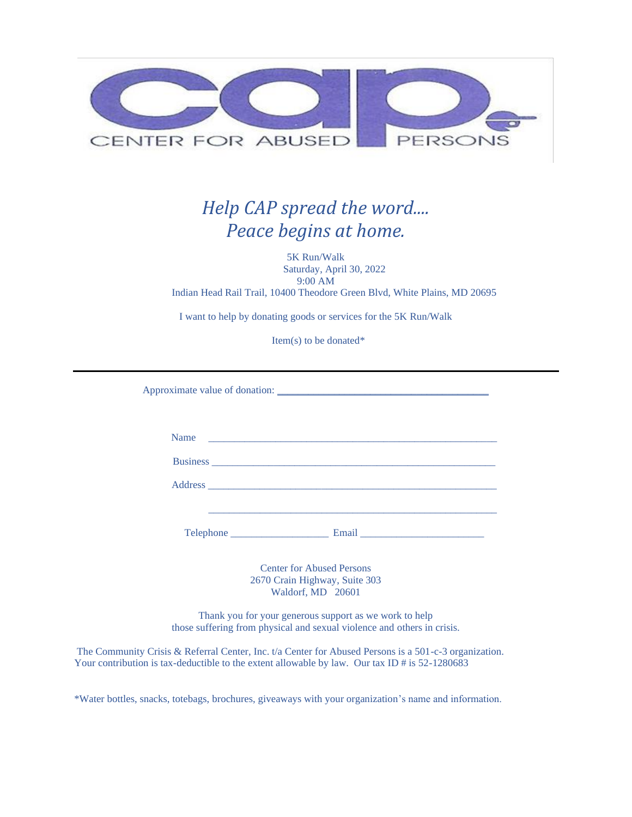

## *Help CAP spread the word.... Peace begins at home.*

5K Run/Walk Saturday, April 30, 2022 9:00 AM Indian Head Rail Trail, 10400 Theodore Green Blvd, White Plains, MD 20695

I want to help by donating goods or services for the 5K Run/Walk

Item(s) to be donated\*

Approximate value of donation: \_\_\_\_\_\_\_\_\_\_\_\_\_\_\_\_\_\_\_\_\_\_\_\_\_\_\_\_\_\_\_\_\_\_\_\_\_\_\_\_\_

| Name                                                     | <u> 1980 - Jan Alexandro Alexandro Alexandro Alexandro Alexandro Alexandro Alexandro Alexandro Alexandro Alexandro Alex</u> |  |
|----------------------------------------------------------|-----------------------------------------------------------------------------------------------------------------------------|--|
|                                                          |                                                                                                                             |  |
|                                                          |                                                                                                                             |  |
|                                                          |                                                                                                                             |  |
| Telephone<br><u> 1989 - Johann Barn, mars eta bainar</u> | Email                                                                                                                       |  |

Center for Abused Persons 2670 Crain Highway, Suite 303 Waldorf, MD 20601

Thank you for your generous support as we work to help those suffering from physical and sexual violence and others in crisis.

The Community Crisis & Referral Center, Inc. t/a Center for Abused Persons is a 501-c-3 organization. Your contribution is tax-deductible to the extent allowable by law. Our tax ID # is 52-1280683

\*Water bottles, snacks, totebags, brochures, giveaways with your organization's name and information.